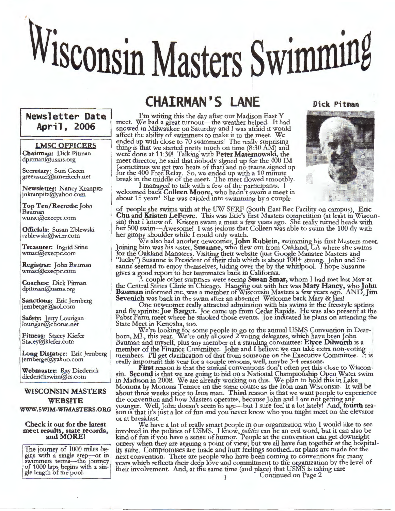# Wisconsin Masters Swimming

## **Newsletter Date April, 2006**

**LMSC OFFICERS Chairman:** Dick Pitman dpitman@usms.org

**Secretary:** Suzi Green greensuz1@ameritech.net

**Newsletter:** Nancy Kranpitz jnkranpitz@yahoo.com

**Top Ten/Records:** John Bauman wmac@execpc.com

**Officials:** Susan Zblewski szblewski@wi.rr.com

**Treasurer:** Ingrid Stine wmac@execpc.com

**Registrar:** John Bauman wmac@execpc.com

**Coaches:** Dick Pitman dpitman@usms.org

**Sanctions:** Eric Jernberg jemberge@aol.com

Safety: **Lerry Lourigan** lourigan@cliorus.net

**Fitness:** Stacey Kiefer Stacey@kiefer.com

Long Distance: Eric Jernberg jernberge@yahoo.com

**Webmaster:** Ray Diederich diederichswim@cs.com

### **WISCONSIN MASTERS WEBSITE**

**WWW.SWIM-WIMASTERS.ORG** 

**Check it out for the latest meet results, state records, and MORE!** 

The journey of 1000 miles be gins with a single step-or in swimmers terms-the journey of 1000 laps begins with a single length of the pool.

# **CHAIRMAN'S LANE**

I'm writing this the day after our Madison East Y meet. We had a great turnout-the weather helped. It had snowed in Milwaukee on Saturday and I was afraid it would affect the ability of swimmers to make it to the meet. We ended up with close to 70 swimmers! The really surprising thing is that we started pr  $\mathbf{I}$ etty much on time  $(8:30 \text{ AM})$  and were done at 11:30! Talking with **Peter Maternowski,** the meet director, he said that nobody signed up for the 400 IM (sometimes we get two heats of that) and no teams signed up<br>for the 400 Free Relay. So, we ended up with a 10 minute break in the middle of the meet. The meet flowed smoothly.

I managed to talk with a few of the participants. I welcomed back Colleen Moore, who hadn't swam a meet in about 15 years! She was cajoled into swimming by a couple

of people she swims with at the UW SERF (South East Rec Facility on campus), **Eric Chu** and **Kristen LeFevre.** 1bis was Eric's first Masters competition (at least in Wisconsin) that I know of. Kristen swam a meet a few years ago. She really turned heads with her 500 swim-Awesome! I was jealous that Colleen was able to swim the 100 fly with her gimpy shoulder while I could only watch.

We also had another newcomer,John **Rublein,** swimming his first Masters meet. Joining him was his sister, **Susanne,** who flew out from Oakland, CA where she swims for the Oakland Manatees. Visiting their website (just Google Manatee Masters and "lucky") Susanne is President of their club which is about 100+ strong. John and Susanne seemed to enjoy themselves, hiding over the by the whirlpool. I hope Susanne gives a good report to her teammates back 1n Califorrua.

A couple other surprises were seeing Susan Smar, whom I had met last May at the Central States Clinic in Chicago. Hanging out with her was Mary Haney, who John **Bauman** informed me, was a member of Wisconsin Masters a few years ago. AND, Jim Sevenich was back in the swim after an absence! Welcome back Mary & Jim!

One newcomer really attracted admiration with his swims in the freestyle sprints and fly\_sprints: **Joe Barger.** Joe came up from Cedar Rapids. He was also present at the Pabst Farm meet where he smoked those events. Joe indicated he plans on attending the State Meet in Kenosha, too.

We're looking for some people to go to the annual USMS Convention in Dearborn, MI., this year. We're only allowed 2 voting delegates, which have been John Bauman and myself, plus any member of a standing committee: Elyce Dilworth is a member of the Finance Committee. John and I believe we can take extra non-voting members. I'll get clarification of that from someone on the Executive Committee. ft is really important this year for a couple reasons, well, maybe 3-4 reasons:

First reason is that the annual conventions don't often get this close to Wisconsin. Second is that we are going to bid on a National Championship Open Water swim in Madison in 2008. We are already working on this. We plan to hold this in Lake Monona by Monona Terrace on the same course as the Iron man Wisconsin. It will be about three weeks prior to Iron man. **Third** reason is that we want people to experience the convention and how Masters operates, because John and I are not getting any younger. Well,John doesn't seem to age-but I sure feel it a lot lately! And, **fourth** reason is that it's just a lot of fun and you never know who you might meet on the elevator or at breakfast.

We have a lot of really smart people in our organization who I would like to see involved in the politics of USMS. I know, *politics* can be an evil word, but it can also be kind of fun if you have a sense of humor. People at the convention can get downright ornery when they are arguing a point of view, but we all have fun together at the hospital-<br>ity suite. Compromises are made and hurt feelings soothed...or plans are made for the next convention. There are people who have been coming to conventions for many years which reflects their deep love and commitment to the organization by the level of their involvement. And, at tlie same time (and place) that USMS is taking care Continued on Page 2



**Dick Pitman**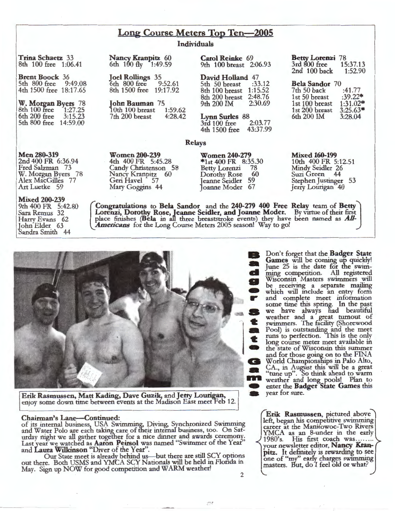### **Long Course Meters Top Ten-2005**

### **Individuals**

**Trina Schaetz** 33 8th 100 free 1:06.41

**Brent Boock** 36 5th 800 free 9:49.08 4th 1500 free 18:17.65

**W. Morean Byers** 78 8th 100 free 1:27.25 6th 200 free 3:15.23 5th 800 free 14:59.00

**Men280-319**  2nd 400 FR 6:36.94 Fred Salzman 73 W. Morgan Byers 78 Alex MacGilles 77 Art Luetke 59

**Mixed 200-239**  9th 400 FR 5:42.80 Sara Remus 32 Harry Evans 62 lohn Elder 63 -Sandra Smith 44

### **Nancy Kranpitz** 60 6th 100 fly 1:49.59

**Joel Rollings** 35<br>6th 800 free 9:52.61  $6th$  800 free 8th 1500 free 19:17.92

**John Bauman** 75 10th 100 breast 1:59.62<br>7th 200 breast 4:28.42  $7th$   $200$  breast

**Women 200-239**  4th 400 FR 5:45.28 Candy Christenson 58 Nancy Kranpitz 60 Geri Havel 57 Mary Goggms 44

**Carol Reinke** 69 9th 100 breast 2:06.93

**David Holland** 47<br>5th 50 breast :33.12 5th 50 breast 8th 100 breast 1:15.52 8th 200 breast 2:48.76<br>9th 200 IM 2:30.69 9th 200 IM

**Lynn Surles** 88<br>3rd 100 free 2:03.77 3rd 100 free 2:03.77<br>4th 1500 free 43:37.99 4th 1500 free

### **Relays**

**Women 240-279**  \*1st 400 FR 8:35.30<br>Betty Lotenzi 78 Betty Lorenzi 78<br>Dorothy Rose 60 Dorothy Rose Jeanne Seidler 59 Joanne Moder 67

**Mixed 160-199** 

10th 400 FR 5:12.51 Mindy Seidler 26<br>Suzi Green 44 Suzi Green 44 Stephen Justinger 53 Jerry Lourigan 40

**Betty Lorenzi** 78<br> **3rd** 800 free 15:37.13 3rd 800 free 15:37.13<br>2nd 100 back 1:52.90

**Bela Sandor** 70 7th 50 back :41.77<br>1st 50 breast :39.22\* 1st 50 breast :39.22\*<br>1st 100 breast 1:31.02\* 1st 100 breast 1:31.02\*<br>1st 200 breast 3:25.63\* 1st 200 breast 3:25.63<br>6th 200 IM 3:28.04

 $2nd$  100 back

6th 200 IM

**[ Congratulations to Bela Sandor and the 240-279 400 Free Relay team of Betty**<br>Lorenzi, Dorothy Rose, Jeanne Seidler, and Joanne Moder. By virtue of their first place finishes (Bela in all three breaststroke events) they have been named as *All-*Americans for the Long Course Meters 2005 season! Way to go!



**Erik Rasmussen, Matt Kading, Dave Guzik, and Jerry Lourigan, enjoy some down time between events at the Madison East meet Feb 12.** 

### **Chairman's Lane--Continued:**

Chairman's Lane—Continued:<br>
of its internal business, USA Swimming, Diving, Synchronized Swimming<br>
and Water Polo are each taking care of their internal business, too. On Saturday night we all gather together for a nice dinner and awards ceremony. Last year we watched as **Aaron Peirsol** was named "Swimmer of the Year" and Laura Wilkinson "Diver of the Year".

Our State meet is already behind us-but there are still SCY options out there. Both USMS and YMCA SCY Nationals will be held in Flonda in May. Sign up NOW for good competition and WARM weather! 2

**B** Don't forget that the **Badger State Games** will be coming up quickly!<br>June 25 is the date for the swim**cl** ming competition. All registered Wisconsin Masters swimmers will be receiving a separate mailing which will include an entry form and complete meet information some time this spring. In the past we have always had beautiful weather and a great turnout of swimmers. The facility (Shorewood Pool) is outstanding and the meet runs to perfection. This is the only long course meter meet available in **419** the state of Wisconsin this summer and for those going on to the FINA<br>World Championships in Palo Alto, CA., in August this will be a great "tune up". So think ahead to warm • enter the **Badger State Games** this year for sure.

**Erik Rasmussen,** pictured above left, began his competitive swimming career at the Manitowoc-Two Rivers YMCA as an 8-under in the early your newsletter editor, Nancy Kran**pitz.** It definitely is rewarding to see one of "my" early charges swimming masters. But, do I feel old or what?

 $(2, 2)$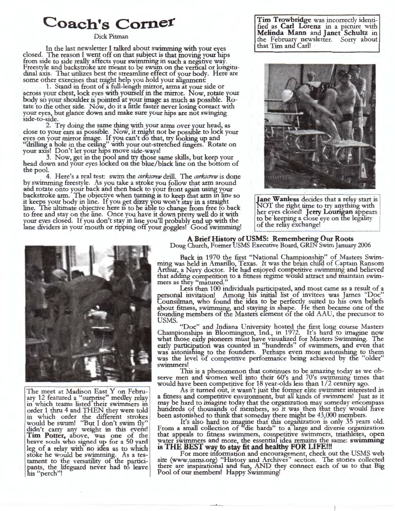### Dick Pitman

In the last newsletter I talked about swimming with your eyes<br>closed. The reason I went off on that subject is that moving your hips<br>from side to side really affects your swimming in such a negative way.<br>Freestyle and back some other exercises that might help you hold your alignment:

1. Stand in front of a full-length mirror, arms at your side or across your chest, lock eyes with yourself in the mirror. Now, rotate your body so your shoulder is pointed at your image as much as possible. Rotate to the other side. Now, do it a little faster never losing contact with your eyes, but glance down and make sure your hips are not swinging side-to-side.

2. Try doing the same thing with your arms over your head, as close *to* your ears as possible. Now, it might not be possible to lock your eyes on your mirror image. If you can't do that, try looking up and "drilling a hole in the ceiling" with your out-stretched fingers. Rotate on your axis! Don't let your hips move side-ways!

3. Now, get in the pool and try those same skills, but keep your head down and your eyes locked on the blue/black line on the bottom of the pool.

4. Here's a real test: swim the *corkscrew* drill. The *corkscrew* is done by swimming freestyle. As you take a stroke you follow that arm around and rotate onto your back and then back to your front again using your backstroke arm. The objective when turning is to keep that arm in line so it keeps your body in line. If you get dizzy you won't stay in a straight **Jane Wanless** decides that a relay start is line. The ultimate objective here is to be able to change from free to back NOT the right time to try anything with to free and stay on the line. Once you have it down pretty well do it with<br>your eyes closed. If you don't stay in line you'll probably end up with the the state of the relay exchange your eyes closed. If you don't stay in line you ii probably end up with the<br>lane dividers in your mouth or ripping off your goggles! Good swimming! of the relay exchange!

**Coach's Corner Tim Trowbridge was incorrectly identi-** fied as **Carl Lorenz** in a picture with **Melinda Mann** and **Janet Schultz** in the February newsletter. Sorry about that Tim and Carl!





The meet at Madison East Y on Febru-<br>ary 12 featured a "surprise" medley relay in which teams listed their swimmers in order 1 thru 4 and THEN they were told in which order the different strokes would be swum! "But I don't swim fly" would be swum! ''But I don't swim fly" didn't carry any weight in this event! Tim Potter, above, was one of the brave souls who signed up for a 50 yard leg of a relay with no idea as to which stoke he would be swimming. As a testament to the versatility of the participants, the lifeguard never had to leave his "perch"!

**A Brief History of USMS: Remembering Our Roots**  Doug Church, Former USMS Exerutive Board, GRlN Swim January 2006

Back in 1970 the first "National Championship" of Masters Swimming was held in Amarillo, Texas. It was the brain chifd of Captain Ransom Arthur, a Navy doctor. He had enjoyed competitive swimming and believed that adding competition to a fitness regime would attract and maintain swim- mers as they "matured."

Less than 100 individuals participated, and most came as a result of a personal invitation! Among his initial list of invitees was James "Doc" Counsilman, who found the idea to be perfectl\_y suited to his own beliefs about fitness, swimming, and staying in shape. He then became one of the founding members of the Masters element of the old AAU, the precursor to USMS.

"Doc" and Indiana University hosted the first long course Masters Championships in Bloomington, Ind., in 1972. It's hard to imagine now what those early pioneers must have visualized for Masters Swimming. The early participation was counted in "hundreds" of swimmers, and even that was astonishing to the founders. Perhaps even more astonishing to them was the level of competitive performance being achieved by the "older" swimmers!

This is a phenomenon that continues to be amazing today as we observe men and women well into their 60's and 70's swimming times that would have been competitive for 18 year-olds less than 1/2 century ago.<br>As it turned out, it wasn't just the former elite swimmer interested in

a fitness and competitive environment, but all kinds of swimmers! Just as it may be hard to imagine today that the organization may someday encompass hundreds of thousands of members, so it was then that they would have been astonished to think that someday there might be 43,000 members.

It's also hard to imagine that this organization is only 35 years old. From a small collection of "die hards" to a large and diverse organization that appeals to fitness swimmers, competitive swimmers, triathletes, open water swimmers and more, the essential idea remains the same: swimming is THE BEST way to stay fit and healthy FOR LIFE!!!

For more information and encouragement, check out the USMS web site (www.usms.org) "History and Archives" section. The stories collected there are inspirational and fun, AND they connect each of us to that Big Pool of our members! Happy Swimming!